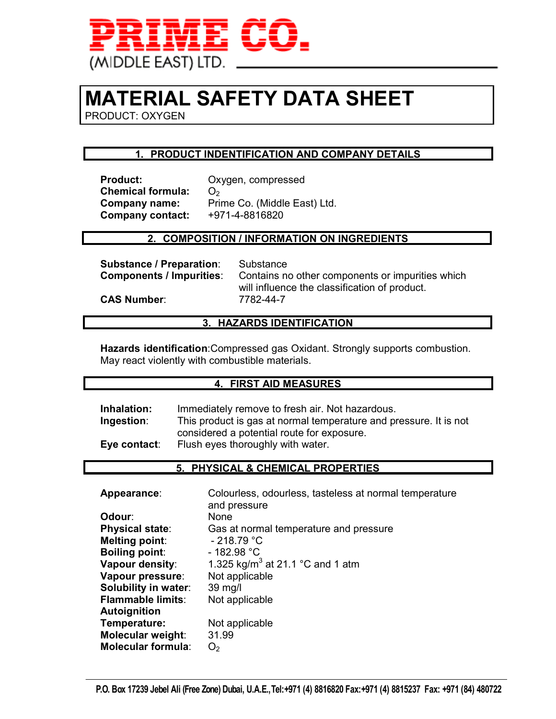

## **MATERIAL SAFETY DATA SHEET**

PRODUCT: OXYGEN

#### **1. PRODUCT INDENTIFICATION AND COMPANY DETAILS**

**Chemical formula:** O<sub>2</sub> **Company contact:** 

**CAS Number:** 

**Product:** Oxygen, compressed **Company name:** Prime Co. (Middle East) Ltd.<br>**Company contact:** +971-4-8816820

#### **2. COMPOSITION / INFORMATION ON INGREDIENTS**

**Substance / Preparation:** Substance<br>**Components / Impurities**: Contains no

Contains no other components or impurities which will influence the classification of product.<br>7782-44-7

#### **3. HAZARDS IDENTIFICATION**

**Hazards identification**:Compressed gas Oxidant. Strongly supports combustion. May react violently with combustible materials.

#### **4. FIRST AID MEASURES**

| Inhalation:  | Immediately remove to fresh air. Not hazardous.                   |
|--------------|-------------------------------------------------------------------|
| Ingestion:   | This product is gas at normal temperature and pressure. It is not |
|              | considered a potential route for exposure.                        |
| Eye contact: | Flush eyes thoroughly with water.                                 |

#### **5. PHYSICAL & CHEMICAL PROPERTIES**

| Appearance:               | Colourless, odourless, tasteless at normal temperature |
|---------------------------|--------------------------------------------------------|
|                           | and pressure                                           |
| Odour:                    | None                                                   |
| <b>Physical state:</b>    | Gas at normal temperature and pressure                 |
| <b>Melting point:</b>     | $-218.79 °C$                                           |
| <b>Boiling point:</b>     | $-182.98 °C$                                           |
| Vapour density:           | 1.325 kg/m <sup>3</sup> at 21.1 °C and 1 atm           |
| Vapour pressure:          | Not applicable                                         |
| Solubility in water:      | 39 mg/l                                                |
| <b>Flammable limits:</b>  | Not applicable                                         |
| Autoignition              |                                                        |
| Temperature:              | Not applicable                                         |
| Molecular weight:         | 31.99                                                  |
| <b>Molecular formula:</b> | O <sub>2</sub>                                         |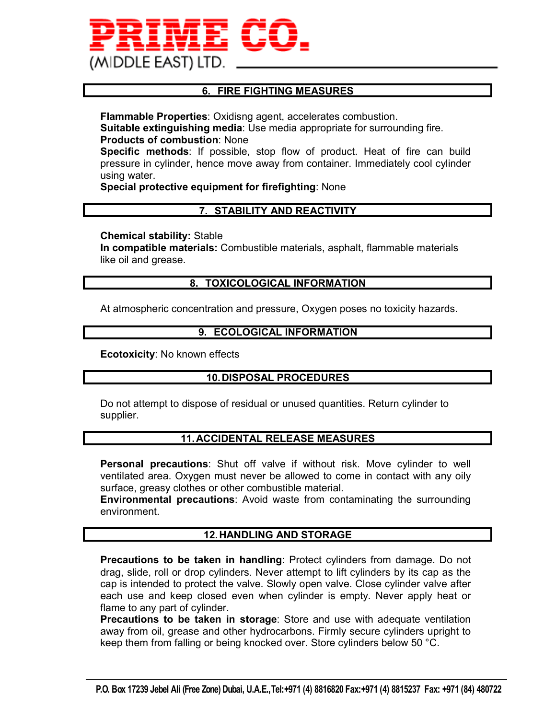

#### **6. FIRE FIGHTING MEASURES**

**Flammable Properties**: Oxidisng agent, accelerates combustion. **Suitable extinguishing media**: Use media appropriate for surrounding fire. **Products of combustion**: None

**Specific methods**: If possible, stop flow of product. Heat of fire can build pressure in cylinder, hence move away from container. Immediately cool cylinder using water.

#### **Special protective equipment for firefighting**: None

#### **7. STABILITY AND REACTIVITY**

#### **Chemical stability:** Stable

**In compatible materials:** Combustible materials, asphalt, flammable materials like oil and grease.

#### **8. TOXICOLOGICAL INFORMATION**

At atmospheric concentration and pressure, Oxygen poses no toxicity hazards.

#### **9. ECOLOGICAL INFORMATION**

**Ecotoxicity**: No known effects

#### **10. DISPOSAL PROCEDURES**

Do not attempt to dispose of residual or unused quantities. Return cylinder to supplier.

#### **11. ACCIDENTAL RELEASE MEASURES**

**Personal precautions**: Shut off valve if without risk. Move cylinder to well ventilated area. Oxygen must never be allowed to come in contact with any oily surface, greasy clothes or other combustible material.

**Environmental precautions**: Avoid waste from contaminating the surrounding environment.

#### **12. HANDLING AND STORAGE**

**Precautions to be taken in handling**: Protect cylinders from damage. Do not drag, slide, roll or drop cylinders. Never attempt to lift cylinders by its cap as the cap is intended to protect the valve. Slowly open valve. Close cylinder valve after each use and keep closed even when cylinder is empty. Never apply heat or flame to any part of cylinder.

**Precautions to be taken in storage**: Store and use with adequate ventilation away from oil, grease and other hydrocarbons. Firmly secure cylinders upright to keep them from falling or being knocked over. Store cylinders below 50 °C.